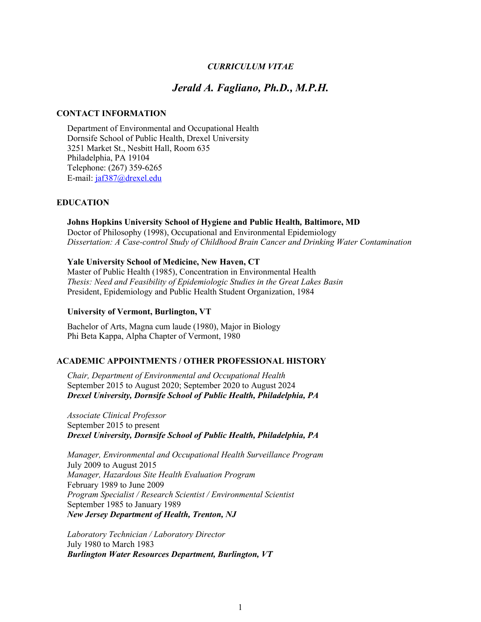### *CURRICULUM VITAE*

# *Jerald A. Fagliano, Ph.D., M.P.H.*

#### **CONTACT INFORMATION**

Department of Environmental and Occupational Health Dornsife School of Public Health, Drexel University 3251 Market St., Nesbitt Hall, Room 635 Philadelphia, PA 19104 Telephone: (267) 359-6265 E-mail: [jaf387@drexel.edu](mailto:jaf387@drexel.edu)

### **EDUCATION**

### **Johns Hopkins University School of Hygiene and Public Health***,* **Baltimore, MD**

Doctor of Philosophy (1998), Occupational and Environmental Epidemiology *Dissertation: A Case-control Study of Childhood Brain Cancer and Drinking Water Contamination*

#### **Yale University School of Medicine, New Haven, CT**

Master of Public Health (1985), Concentration in Environmental Health *Thesis: Need and Feasibility of Epidemiologic Studies in the Great Lakes Basin* President, Epidemiology and Public Health Student Organization, 1984

#### **University of Vermont, Burlington, VT**

Bachelor of Arts, Magna cum laude (1980), Major in Biology Phi Beta Kappa, Alpha Chapter of Vermont, 1980

#### **ACADEMIC APPOINTMENTS / OTHER PROFESSIONAL HISTORY**

*Chair, Department of Environmental and Occupational Health* September 2015 to August 2020; September 2020 to August 2024 *Drexel University, Dornsife School of Public Health, Philadelphia, PA*

*Associate Clinical Professor*  September 2015 to present *Drexel University, Dornsife School of Public Health, Philadelphia, PA*

*Manager, Environmental and Occupational Health Surveillance Program* July 2009 to August 2015 *Manager, Hazardous Site Health Evaluation Program*  February 1989 to June 2009 *Program Specialist / Research Scientist / Environmental Scientist* September 1985 to January 1989 *New Jersey Department of Health, Trenton, NJ*

*Laboratory Technician / Laboratory Director* July 1980 to March 1983 *Burlington Water Resources Department, Burlington, VT*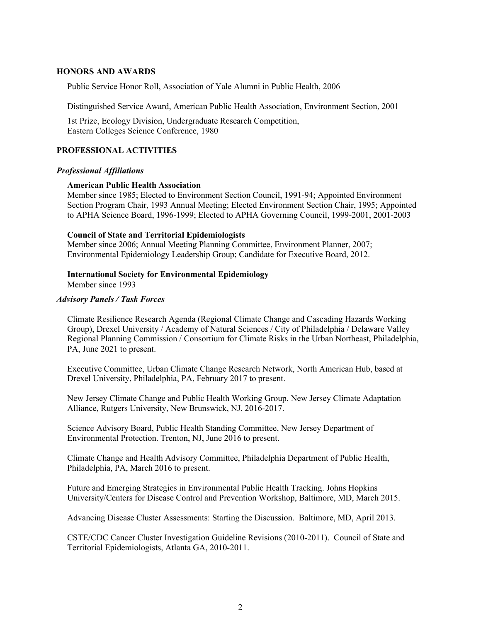#### **HONORS AND AWARDS**

Public Service Honor Roll, Association of Yale Alumni in Public Health, 2006

Distinguished Service Award, American Public Health Association, Environment Section, 2001

1st Prize, Ecology Division, Undergraduate Research Competition, Eastern Colleges Science Conference, 1980

# **PROFESSIONAL ACTIVITIES**

#### *Professional Affiliations*

### **American Public Health Association**

Member since 1985; Elected to Environment Section Council, 1991-94; Appointed Environment Section Program Chair, 1993 Annual Meeting; Elected Environment Section Chair, 1995; Appointed to APHA Science Board, 1996-1999; Elected to APHA Governing Council, 1999-2001, 2001-2003

#### **Council of State and Territorial Epidemiologists**

Member since 2006; Annual Meeting Planning Committee, Environment Planner, 2007; Environmental Epidemiology Leadership Group; Candidate for Executive Board, 2012.

#### **International Society for Environmental Epidemiology**

Member since 1993

#### *Advisory Panels / Task Forces*

Climate Resilience Research Agenda (Regional Climate Change and Cascading Hazards Working Group), Drexel University / Academy of Natural Sciences / City of Philadelphia / Delaware Valley Regional Planning Commission / Consortium for Climate Risks in the Urban Northeast, Philadelphia, PA, June 2021 to present.

Executive Committee, Urban Climate Change Research Network, North American Hub, based at Drexel University, Philadelphia, PA, February 2017 to present.

New Jersey Climate Change and Public Health Working Group, New Jersey Climate Adaptation Alliance, Rutgers University, New Brunswick, NJ, 2016-2017.

Science Advisory Board, Public Health Standing Committee, New Jersey Department of Environmental Protection. Trenton, NJ, June 2016 to present.

Climate Change and Health Advisory Committee, Philadelphia Department of Public Health, Philadelphia, PA, March 2016 to present.

Future and Emerging Strategies in Environmental Public Health Tracking. Johns Hopkins University/Centers for Disease Control and Prevention Workshop, Baltimore, MD, March 2015.

Advancing Disease Cluster Assessments: Starting the Discussion. Baltimore, MD, April 2013.

CSTE/CDC Cancer Cluster Investigation Guideline Revisions (2010-2011). Council of State and Territorial Epidemiologists, Atlanta GA, 2010-2011.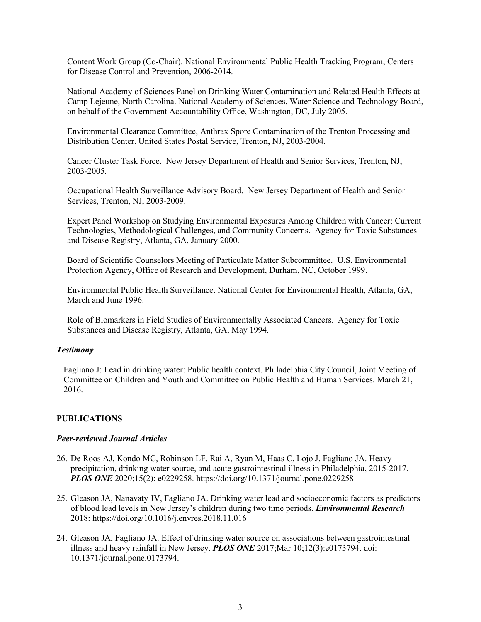Content Work Group (Co-Chair). National Environmental Public Health Tracking Program, Centers for Disease Control and Prevention, 2006-2014.

National Academy of Sciences Panel on Drinking Water Contamination and Related Health Effects at Camp Lejeune, North Carolina. National Academy of Sciences, Water Science and Technology Board, on behalf of the Government Accountability Office, Washington, DC, July 2005.

Environmental Clearance Committee, Anthrax Spore Contamination of the Trenton Processing and Distribution Center. United States Postal Service, Trenton, NJ, 2003-2004.

Cancer Cluster Task Force. New Jersey Department of Health and Senior Services, Trenton, NJ, 2003-2005.

Occupational Health Surveillance Advisory Board. New Jersey Department of Health and Senior Services, Trenton, NJ, 2003-2009.

Expert Panel Workshop on Studying Environmental Exposures Among Children with Cancer: Current Technologies, Methodological Challenges, and Community Concerns. Agency for Toxic Substances and Disease Registry, Atlanta, GA, January 2000.

Board of Scientific Counselors Meeting of Particulate Matter Subcommittee. U.S. Environmental Protection Agency, Office of Research and Development, Durham, NC, October 1999.

Environmental Public Health Surveillance. National Center for Environmental Health, Atlanta, GA, March and June 1996.

Role of Biomarkers in Field Studies of Environmentally Associated Cancers. Agency for Toxic Substances and Disease Registry, Atlanta, GA, May 1994.

#### *Testimony*

Fagliano J: Lead in drinking water: Public health context. Philadelphia City Council, Joint Meeting of Committee on Children and Youth and Committee on Public Health and Human Services. March 21, 2016.

## **PUBLICATIONS**

#### *Peer-reviewed Journal Articles*

- 26. De Roos AJ, Kondo MC, Robinson LF, Rai A, Ryan M, Haas C, Lojo J, Fagliano JA. Heavy precipitation, drinking water source, and acute gastrointestinal illness in Philadelphia, 2015-2017. *PLOS ONE* 2020;15(2): e0229258. https://doi.org/10.1371/journal.pone.0229258
- 25. Gleason JA, Nanavaty JV, Fagliano JA. Drinking water lead and socioeconomic factors as predictors of blood lead levels in New Jersey's children during two time periods. *Environmental Research* 2018: https://doi.org/10.1016/j.envres.2018.11.016
- 24. Gleason JA, Fagliano JA. Effect of drinking water source on associations between gastrointestinal illness and heavy rainfall in New Jersey. *PLOS ONE* 2017;Mar 10;12(3):e0173794. doi: 10.1371/journal.pone.0173794.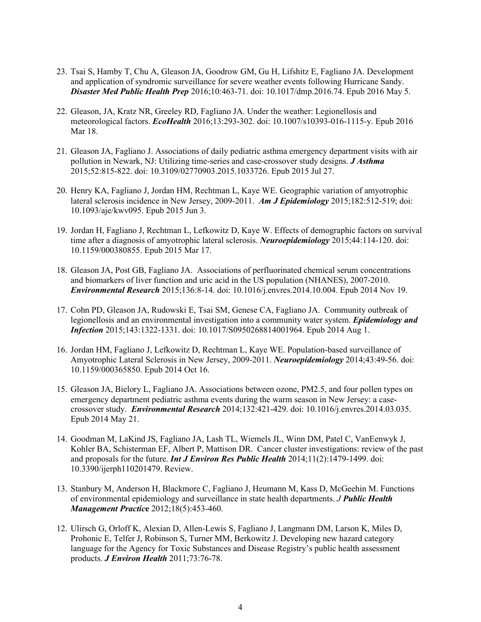- 23. Tsai S, Hamby T, Chu A, Gleason JA, Goodrow GM, Gu H, Lifshitz E, Fagliano JA. Development and application of syndromic surveillance for severe weather events following Hurricane Sandy. *Disaster Med Public Health Prep* 2016;10:463-71. doi: 10.1017/dmp.2016.74. Epub 2016 May 5.
- 22. Gleason, JA, Kratz NR, Greeley RD, Fagliano JA. Under the weather: Legionellosis and meteorological factors. *EcoHealth* 2016;13:293-302. doi: 10.1007/s10393-016-1115-y. Epub 2016 Mar 18.
- 21. Gleason JA, Fagliano J. Associations of daily pediatric asthma emergency department visits with air pollution in Newark, NJ: Utilizing time-series and case-crossover study designs. *J Asthma* 2015;52:815-822. doi: 10.3109/02770903.2015.1033726. Epub 2015 Jul 27.
- 20. Henry KA, Fagliano J, Jordan HM, Rechtman L, Kaye WE. Geographic variation of amyotrophic lateral sclerosis incidence in New Jersey, 2009-2011. *Am J Epidemiology* 2015;182:512-519; doi: 10.1093/aje/kwv095. Epub 2015 Jun 3.
- 19. Jordan H, Fagliano J, Rechtman L, Lefkowitz D, Kaye W. Effects of demographic factors on survival time after a diagnosis of amyotrophic lateral sclerosis. *Neuroepidemiology* 2015;44:114-120. doi: 10.1159/000380855. Epub 2015 Mar 17.
- 18. Gleason JA, Post GB, Fagliano JA. Associations of perfluorinated chemical serum concentrations and biomarkers of liver function and uric acid in the US population (NHANES), 2007-2010. *Environmental Research* 2015;136:8-14. doi: 10.1016/j.envres.2014.10.004. Epub 2014 Nov 19.
- 17. Cohn PD, Gleason JA, Rudowski E, Tsai SM, Genese CA, Fagliano JA. Community outbreak of legionellosis and an environmental investigation into a community water system. *Epidemiology and Infection* 2015;143:1322-1331. doi: 10.1017/S0950268814001964. Epub 2014 Aug 1.
- 16. Jordan HM, Fagliano J, Lefkowitz D, Rechtman L, Kaye WE. Population-based surveillance of Amyotrophic Lateral Sclerosis in New Jersey, 2009-2011. *Neuroepidemiology* 2014;43:49-56. doi: 10.1159/000365850. Epub 2014 Oct 16.
- 15. Gleason JA, Bielory L, Fagliano JA. Associations between ozone, PM2.5, and four pollen types on emergency department pediatric asthma events during the warm season in New Jersey: a casecrossover study. *Environmental Research* 2014;132:421-429. doi: 10.1016/j.envres.2014.03.035. Epub 2014 May 21.
- 14. Goodman M, LaKind JS, Fagliano JA, Lash TL, Wiemels JL, Winn DM, Patel C, VanEenwyk J, Kohler BA, Schisterman EF, Albert P, Mattison DR. Cancer cluster investigations: review of the past and proposals for the future. *Int J Environ Res Public Health* 2014;11(2):1479-1499. doi: 10.3390/ijerph110201479. Review.
- 13. Stanbury M, Anderson H, Blackmore C, Fagliano J, Heumann M, Kass D, McGeehin M. Functions of environmental epidemiology and surveillance in state health departments. *J Public Health Management Practic***e** 2012;18(5):453-460.
- 12. Ulirsch G, Orloff K, Alexian D, Allen-Lewis S, Fagliano J, Langmann DM, Larson K, Miles D, Prohonic E, Telfer J, Robinson S, Turner MM, Berkowitz J. Developing new hazard category language for the Agency for Toxic Substances and Disease Registry's public health assessment products. *J Environ Health* 2011;73:76-78.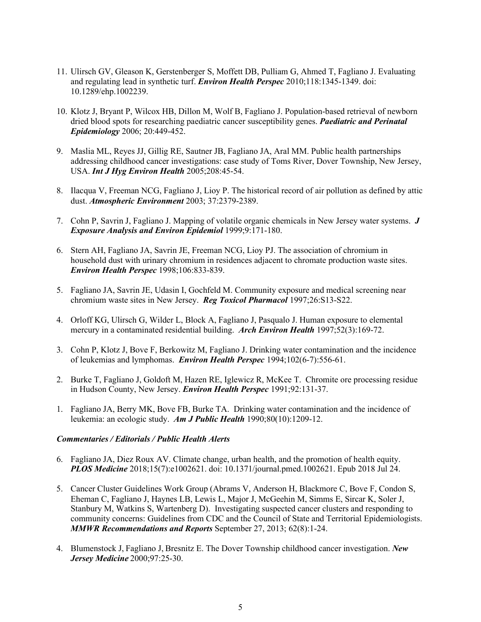- 11. Ulirsch GV, Gleason K, Gerstenberger S, Moffett DB, Pulliam G, Ahmed T, Fagliano J. Evaluating and regulating lead in synthetic turf. *Environ Health Perspec* 2010;118:1345-1349. doi: 10.1289/ehp.1002239.
- 10. Klotz J, Bryant P, Wilcox HB, Dillon M, Wolf B, Fagliano J. Population-based retrieval of newborn dried blood spots for researching paediatric cancer susceptibility genes. *Paediatric and Perinatal Epidemiology* 2006; 20:449-452.
- 9. Maslia ML, Reyes JJ, Gillig RE, Sautner JB, Fagliano JA, Aral MM. Public health partnerships addressing childhood cancer investigations: case study of Toms River, Dover Township, New Jersey, USA. *Int J Hyg Environ Health* 2005;208:45-54.
- 8. Ilacqua V, Freeman NCG, Fagliano J, Lioy P. The historical record of air pollution as defined by attic dust. *Atmospheric Environment* 2003; 37:2379-2389.
- 7. Cohn P, Savrin J, Fagliano J. Mapping of volatile organic chemicals in New Jersey water systems. *J Exposure Analysis and Environ Epidemiol* 1999;9:171-180.
- 6. Stern AH, Fagliano JA, Savrin JE, Freeman NCG, Lioy PJ. The association of chromium in household dust with urinary chromium in residences adjacent to chromate production waste sites. *Environ Health Perspec* 1998;106:833-839.
- 5. Fagliano JA, Savrin JE, Udasin I, Gochfeld M. Community exposure and medical screening near chromium waste sites in New Jersey. *Reg Toxicol Pharmacol* 1997;26:S13-S22.
- 4. Orloff KG, Ulirsch G, Wilder L, Block A, Fagliano J, Pasqualo J. Human exposure to elemental mercury in a contaminated residential building. *Arch Environ Health* 1997;52(3):169-72.
- 3. Cohn P, Klotz J, Bove F, Berkowitz M, Fagliano J. Drinking water contamination and the incidence of leukemias and lymphomas. *Environ Health Perspec* 1994;102(6-7):556-61.
- 2. Burke T, Fagliano J, Goldoft M, Hazen RE, Iglewicz R, McKee T. Chromite ore processing residue in Hudson County, New Jersey. *Environ Health Perspec* 1991;92:131-37.
- 1. Fagliano JA, Berry MK, Bove FB, Burke TA. Drinking water contamination and the incidence of leukemia: an ecologic study. *Am J Public Health* 1990;80(10):1209-12.

#### *Commentaries / Editorials / Public Health Alerts*

- 6. Fagliano JA, Diez Roux AV. Climate change, urban health, and the promotion of health equity. *PLOS Medicine* 2018;15(7):e1002621. doi: 10.1371/journal.pmed.1002621. Epub 2018 Jul 24.
- 5. Cancer Cluster Guidelines Work Group (Abrams V, Anderson H, Blackmore C, Bove F, Condon S, Eheman C, Fagliano J, Haynes LB, Lewis L, Major J, McGeehin M, Simms E, Sircar K, Soler J, Stanbury M, Watkins S, Wartenberg D). Investigating suspected cancer clusters and responding to community concerns: Guidelines from CDC and the Council of State and Territorial Epidemiologists. *MMWR Recommendations and Reports* September 27, 2013; 62(8):1-24.
- 4. Blumenstock J, Fagliano J, Bresnitz E. The Dover Township childhood cancer investigation. *New Jersey Medicine* 2000;97:25-30.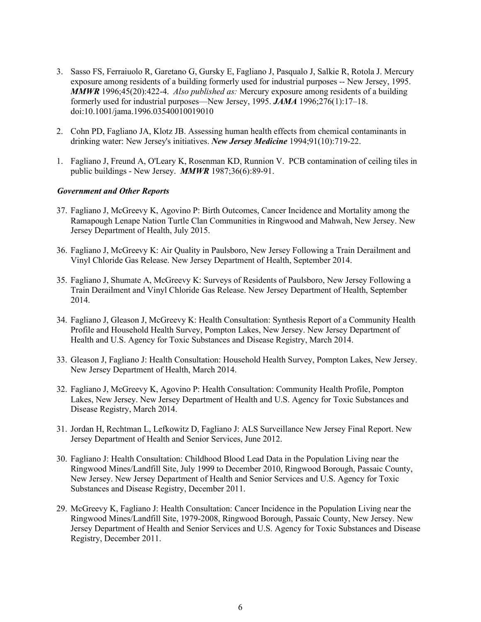- 3. Sasso FS, Ferraiuolo R, Garetano G, Gursky E, Fagliano J, Pasqualo J, Salkie R, Rotola J. Mercury exposure among residents of a building formerly used for industrial purposes -- New Jersey, 1995. *MMWR* 1996;45(20):422-4. *Also published as:* Mercury exposure among residents of a building formerly used for industrial purposes—New Jersey, 1995. *JAMA* 1996;276(1):17–18. doi:10.1001/jama.1996.03540010019010
- 2. Cohn PD, Fagliano JA, Klotz JB. Assessing human health effects from chemical contaminants in drinking water: New Jersey's initiatives. *New Jersey Medicine* 1994;91(10):719-22.
- 1. Fagliano J, Freund A, O'Leary K, Rosenman KD, Runnion V. PCB contamination of ceiling tiles in public buildings - New Jersey. *MMWR* 1987;36(6):89-91.

### *Government and Other Reports*

- 37. Fagliano J, McGreevy K, Agovino P: Birth Outcomes, Cancer Incidence and Mortality among the Ramapough Lenape Nation Turtle Clan Communities in Ringwood and Mahwah, New Jersey. New Jersey Department of Health, July 2015.
- 36. Fagliano J, McGreevy K: Air Quality in Paulsboro, New Jersey Following a Train Derailment and Vinyl Chloride Gas Release. New Jersey Department of Health, September 2014.
- 35. Fagliano J, Shumate A, McGreevy K: Surveys of Residents of Paulsboro, New Jersey Following a Train Derailment and Vinyl Chloride Gas Release. New Jersey Department of Health, September 2014.
- 34. Fagliano J, Gleason J, McGreevy K: Health Consultation: Synthesis Report of a Community Health Profile and Household Health Survey, Pompton Lakes, New Jersey. New Jersey Department of Health and U.S. Agency for Toxic Substances and Disease Registry, March 2014.
- 33. Gleason J, Fagliano J: Health Consultation: Household Health Survey, Pompton Lakes, New Jersey. New Jersey Department of Health, March 2014.
- 32. Fagliano J, McGreevy K, Agovino P: Health Consultation: Community Health Profile, Pompton Lakes, New Jersey. New Jersey Department of Health and U.S. Agency for Toxic Substances and Disease Registry, March 2014.
- 31. Jordan H, Rechtman L, Lefkowitz D, Fagliano J: ALS Surveillance New Jersey Final Report. New Jersey Department of Health and Senior Services, June 2012.
- 30. Fagliano J: Health Consultation: Childhood Blood Lead Data in the Population Living near the Ringwood Mines/Landfill Site, July 1999 to December 2010, Ringwood Borough, Passaic County, New Jersey. New Jersey Department of Health and Senior Services and U.S. Agency for Toxic Substances and Disease Registry, December 2011.
- 29. McGreevy K, Fagliano J: Health Consultation: Cancer Incidence in the Population Living near the Ringwood Mines/Landfill Site, 1979-2008, Ringwood Borough, Passaic County, New Jersey. New Jersey Department of Health and Senior Services and U.S. Agency for Toxic Substances and Disease Registry, December 2011.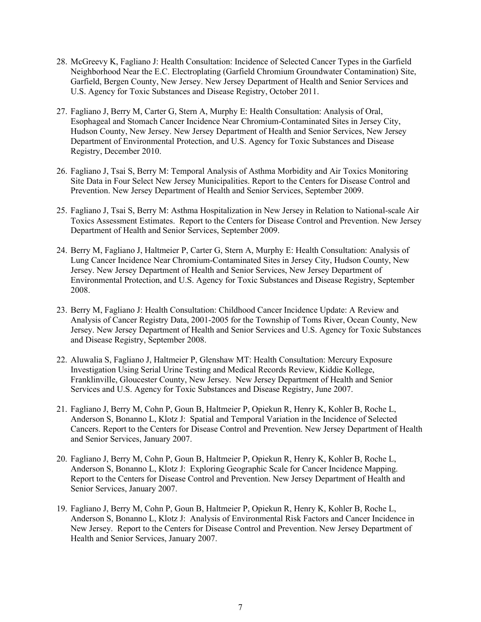- 28. McGreevy K, Fagliano J: Health Consultation: Incidence of Selected Cancer Types in the Garfield Neighborhood Near the E.C. Electroplating (Garfield Chromium Groundwater Contamination) Site, Garfield, Bergen County, New Jersey. New Jersey Department of Health and Senior Services and U.S. Agency for Toxic Substances and Disease Registry, October 2011.
- 27. Fagliano J, Berry M, Carter G, Stern A, Murphy E: Health Consultation: Analysis of Oral, Esophageal and Stomach Cancer Incidence Near Chromium-Contaminated Sites in Jersey City, Hudson County, New Jersey. New Jersey Department of Health and Senior Services, New Jersey Department of Environmental Protection, and U.S. Agency for Toxic Substances and Disease Registry, December 2010.
- 26. Fagliano J, Tsai S, Berry M: Temporal Analysis of Asthma Morbidity and Air Toxics Monitoring Site Data in Four Select New Jersey Municipalities. Report to the Centers for Disease Control and Prevention. New Jersey Department of Health and Senior Services, September 2009.
- 25. Fagliano J, Tsai S, Berry M: Asthma Hospitalization in New Jersey in Relation to National-scale Air Toxics Assessment Estimates. Report to the Centers for Disease Control and Prevention. New Jersey Department of Health and Senior Services, September 2009.
- 24. Berry M, Fagliano J, Haltmeier P, Carter G, Stern A, Murphy E: Health Consultation: Analysis of Lung Cancer Incidence Near Chromium-Contaminated Sites in Jersey City, Hudson County, New Jersey. New Jersey Department of Health and Senior Services, New Jersey Department of Environmental Protection, and U.S. Agency for Toxic Substances and Disease Registry, September 2008.
- 23. Berry M, Fagliano J: Health Consultation: Childhood Cancer Incidence Update: A Review and Analysis of Cancer Registry Data, 2001-2005 for the Township of Toms River, Ocean County, New Jersey. New Jersey Department of Health and Senior Services and U.S. Agency for Toxic Substances and Disease Registry, September 2008.
- 22. Aluwalia S, Fagliano J, Haltmeier P, Glenshaw MT: Health Consultation: Mercury Exposure Investigation Using Serial Urine Testing and Medical Records Review, Kiddie Kollege, Franklinville, Gloucester County, New Jersey. New Jersey Department of Health and Senior Services and U.S. Agency for Toxic Substances and Disease Registry, June 2007.
- 21. Fagliano J, Berry M, Cohn P, Goun B, Haltmeier P, Opiekun R, Henry K, Kohler B, Roche L, Anderson S, Bonanno L, Klotz J: Spatial and Temporal Variation in the Incidence of Selected Cancers. Report to the Centers for Disease Control and Prevention. New Jersey Department of Health and Senior Services, January 2007.
- 20. Fagliano J, Berry M, Cohn P, Goun B, Haltmeier P, Opiekun R, Henry K, Kohler B, Roche L, Anderson S, Bonanno L, Klotz J: Exploring Geographic Scale for Cancer Incidence Mapping. Report to the Centers for Disease Control and Prevention. New Jersey Department of Health and Senior Services, January 2007.
- 19. Fagliano J, Berry M, Cohn P, Goun B, Haltmeier P, Opiekun R, Henry K, Kohler B, Roche L, Anderson S, Bonanno L, Klotz J: Analysis of Environmental Risk Factors and Cancer Incidence in New Jersey. Report to the Centers for Disease Control and Prevention. New Jersey Department of Health and Senior Services, January 2007.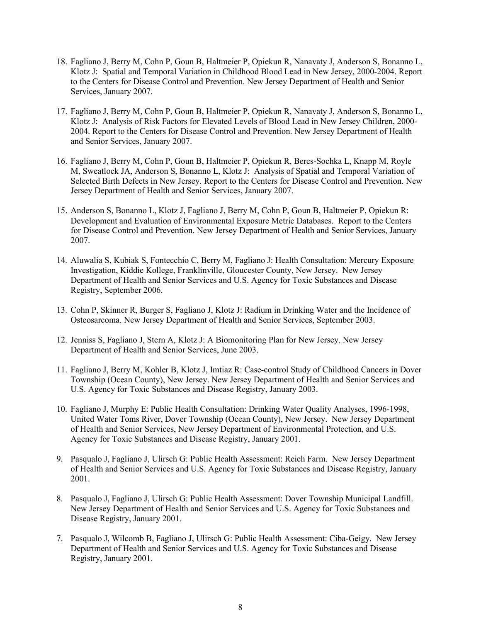- 18. Fagliano J, Berry M, Cohn P, Goun B, Haltmeier P, Opiekun R, Nanavaty J, Anderson S, Bonanno L, Klotz J: Spatial and Temporal Variation in Childhood Blood Lead in New Jersey, 2000-2004. Report to the Centers for Disease Control and Prevention. New Jersey Department of Health and Senior Services, January 2007.
- 17. Fagliano J, Berry M, Cohn P, Goun B, Haltmeier P, Opiekun R, Nanavaty J, Anderson S, Bonanno L, Klotz J: Analysis of Risk Factors for Elevated Levels of Blood Lead in New Jersey Children, 2000- 2004. Report to the Centers for Disease Control and Prevention. New Jersey Department of Health and Senior Services, January 2007.
- 16. Fagliano J, Berry M, Cohn P, Goun B, Haltmeier P, Opiekun R, Beres-Sochka L, Knapp M, Royle M, Sweatlock JA, Anderson S, Bonanno L, Klotz J: Analysis of Spatial and Temporal Variation of Selected Birth Defects in New Jersey. Report to the Centers for Disease Control and Prevention. New Jersey Department of Health and Senior Services, January 2007.
- 15. Anderson S, Bonanno L, Klotz J, Fagliano J, Berry M, Cohn P, Goun B, Haltmeier P, Opiekun R: Development and Evaluation of Environmental Exposure Metric Databases. Report to the Centers for Disease Control and Prevention. New Jersey Department of Health and Senior Services, January 2007.
- 14. Aluwalia S, Kubiak S, Fontecchio C, Berry M, Fagliano J: Health Consultation: Mercury Exposure Investigation, Kiddie Kollege, Franklinville, Gloucester County, New Jersey. New Jersey Department of Health and Senior Services and U.S. Agency for Toxic Substances and Disease Registry, September 2006.
- 13. Cohn P, Skinner R, Burger S, Fagliano J, Klotz J: Radium in Drinking Water and the Incidence of Osteosarcoma. New Jersey Department of Health and Senior Services, September 2003.
- 12. Jenniss S, Fagliano J, Stern A, Klotz J: A Biomonitoring Plan for New Jersey. New Jersey Department of Health and Senior Services, June 2003.
- 11. Fagliano J, Berry M, Kohler B, Klotz J, Imtiaz R: Case-control Study of Childhood Cancers in Dover Township (Ocean County), New Jersey. New Jersey Department of Health and Senior Services and U.S. Agency for Toxic Substances and Disease Registry, January 2003.
- 10. Fagliano J, Murphy E: Public Health Consultation: Drinking Water Quality Analyses, 1996-1998, United Water Toms River, Dover Township (Ocean County), New Jersey. New Jersey Department of Health and Senior Services, New Jersey Department of Environmental Protection, and U.S. Agency for Toxic Substances and Disease Registry, January 2001.
- 9. Pasqualo J, Fagliano J, Ulirsch G: Public Health Assessment: Reich Farm. New Jersey Department of Health and Senior Services and U.S. Agency for Toxic Substances and Disease Registry, January 2001.
- 8. Pasqualo J, Fagliano J, Ulirsch G: Public Health Assessment: Dover Township Municipal Landfill. New Jersey Department of Health and Senior Services and U.S. Agency for Toxic Substances and Disease Registry, January 2001.
- 7. Pasqualo J, Wilcomb B, Fagliano J, Ulirsch G: Public Health Assessment: Ciba-Geigy. New Jersey Department of Health and Senior Services and U.S. Agency for Toxic Substances and Disease Registry, January 2001.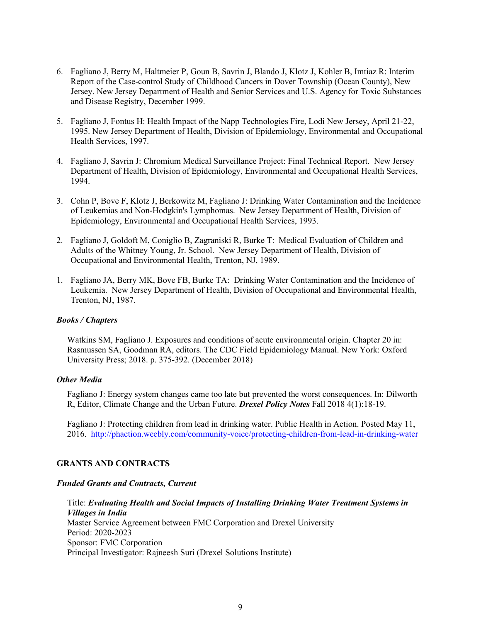- 6. Fagliano J, Berry M, Haltmeier P, Goun B, Savrin J, Blando J, Klotz J, Kohler B, Imtiaz R: Interim Report of the Case-control Study of Childhood Cancers in Dover Township (Ocean County), New Jersey. New Jersey Department of Health and Senior Services and U.S. Agency for Toxic Substances and Disease Registry, December 1999.
- 5. Fagliano J, Fontus H: Health Impact of the Napp Technologies Fire, Lodi New Jersey, April 21-22, 1995. New Jersey Department of Health, Division of Epidemiology, Environmental and Occupational Health Services, 1997.
- 4. Fagliano J, Savrin J: Chromium Medical Surveillance Project: Final Technical Report. New Jersey Department of Health, Division of Epidemiology, Environmental and Occupational Health Services, 1994.
- 3. Cohn P, Bove F, Klotz J, Berkowitz M, Fagliano J: Drinking Water Contamination and the Incidence of Leukemias and Non-Hodgkin's Lymphomas. New Jersey Department of Health, Division of Epidemiology, Environmental and Occupational Health Services, 1993.
- 2. Fagliano J, Goldoft M, Coniglio B, Zagraniski R, Burke T: Medical Evaluation of Children and Adults of the Whitney Young, Jr. School. New Jersey Department of Health, Division of Occupational and Environmental Health, Trenton, NJ, 1989.
- 1. Fagliano JA, Berry MK, Bove FB, Burke TA: Drinking Water Contamination and the Incidence of Leukemia. New Jersey Department of Health, Division of Occupational and Environmental Health, Trenton, NJ, 1987.

#### *Books / Chapters*

Watkins SM, Fagliano J. Exposures and conditions of acute environmental origin. Chapter 20 in: Rasmussen SA, Goodman RA, editors. The CDC Field Epidemiology Manual. New York: Oxford University Press; 2018. p. 375-392. (December 2018)

#### *Other Media*

Fagliano J: Energy system changes came too late but prevented the worst consequences. In: Dilworth R, Editor, Climate Change and the Urban Future. *Drexel Policy Notes* Fall 2018 4(1):18-19.

Fagliano J: Protecting children from lead in drinking water. Public Health in Action. Posted May 11, 2016. <http://phaction.weebly.com/community-voice/protecting-children-from-lead-in-drinking-water>

### **GRANTS AND CONTRACTS**

#### *Funded Grants and Contracts, Current*

Title: *Evaluating Health and Social Impacts of Installing Drinking Water Treatment Systems in Villages in India* Master Service Agreement between FMC Corporation and Drexel University Period: 2020-2023 Sponsor: FMC Corporation Principal Investigator: Rajneesh Suri (Drexel Solutions Institute)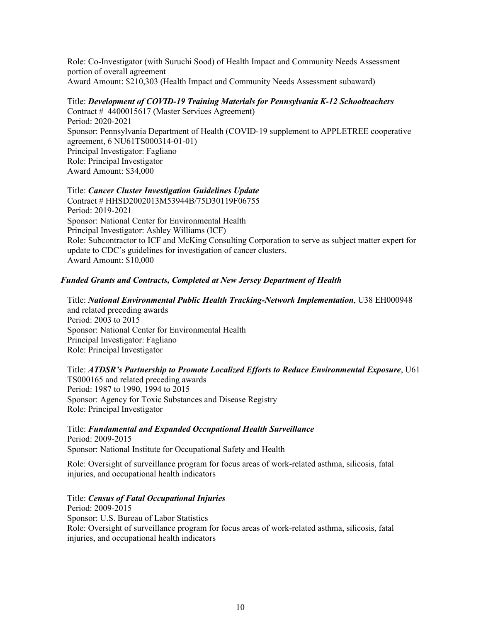Role: Co-Investigator (with Suruchi Sood) of Health Impact and Community Needs Assessment portion of overall agreement Award Amount: \$210,303 (Health Impact and Community Needs Assessment subaward)

# Title: *Development of COVID-19 Training Materials for Pennsylvania K-12 Schoolteachers* Contract # 4400015617 (Master Services Agreement)

Period: 2020-2021 Sponsor: Pennsylvania Department of Health (COVID-19 supplement to APPLETREE cooperative agreement, 6 NU61TS000314-01-01) Principal Investigator: Fagliano Role: Principal Investigator Award Amount: \$34,000

# Title: *Cancer Cluster Investigation Guidelines Update*

Contract # HHSD2002013M53944B/75D30119F06755 Period: 2019-2021 Sponsor: National Center for Environmental Health Principal Investigator: Ashley Williams (ICF) Role: Subcontractor to ICF and McKing Consulting Corporation to serve as subject matter expert for update to CDC's guidelines for investigation of cancer clusters. Award Amount: \$10,000

# *Funded Grants and Contracts, Completed at New Jersey Department of Health*

Title: *National Environmental Public Health Tracking-Network Implementation*, U38 EH000948 and related preceding awards Period: 2003 to 2015 Sponsor: National Center for Environmental Health Principal Investigator: Fagliano Role: Principal Investigator

Title: *ATDSR's Partnership to Promote Localized Efforts to Reduce Environmental Exposure*, U61 TS000165 and related preceding awards Period: 1987 to 1990, 1994 to 2015 Sponsor: Agency for Toxic Substances and Disease Registry Role: Principal Investigator

Title: *Fundamental and Expanded Occupational Health Surveillance* Period: 2009-2015 Sponsor: National Institute for Occupational Safety and Health

Role: Oversight of surveillance program for focus areas of work-related asthma, silicosis, fatal injuries, and occupational health indicators

## Title: *Census of Fatal Occupational Injuries*

Period: 2009-2015 Sponsor: U.S. Bureau of Labor Statistics Role: Oversight of surveillance program for focus areas of work-related asthma, silicosis, fatal injuries, and occupational health indicators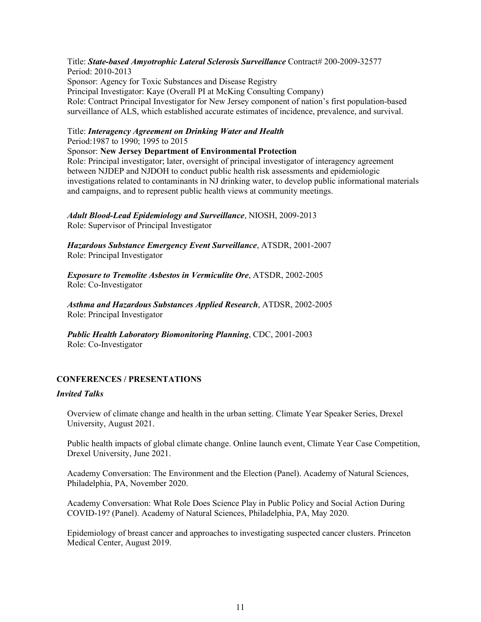Title: **State-based Amyotrophic Lateral Sclerosis Surveillance** Contract# 200-2009-32577 Period: 2010-2013 Sponsor: Agency for Toxic Substances and Disease Registry Principal Investigator: Kaye (Overall PI at McKing Consulting Company) Role: Contract Principal Investigator for New Jersey component of nation's first population-based surveillance of ALS, which established accurate estimates of incidence, prevalence, and survival.

## Title: *Interagency Agreement on Drinking Water and Health* Period:1987 to 1990; 1995 to 2015

### Sponsor: **New Jersey Department of Environmental Protection**

Role: Principal investigator; later, oversight of principal investigator of interagency agreement between NJDEP and NJDOH to conduct public health risk assessments and epidemiologic investigations related to contaminants in NJ drinking water, to develop public informational materials and campaigns, and to represent public health views at community meetings.

*Adult Blood-Lead Epidemiology and Surveillance*, NIOSH, 2009-2013 Role: Supervisor of Principal Investigator

*Hazardous Substance Emergency Event Surveillance*, ATSDR, 2001-2007 Role: Principal Investigator

*Exposure to Tremolite Asbestos in Vermiculite Ore*, ATSDR, 2002-2005 Role: Co-Investigator

*Asthma and Hazardous Substances Applied Research*, ATDSR, 2002-2005 Role: Principal Investigator

*Public Health Laboratory Biomonitoring Planning*, CDC, 2001-2003 Role: Co-Investigator

## **CONFERENCES / PRESENTATIONS**

#### *Invited Talks*

Overview of climate change and health in the urban setting. Climate Year Speaker Series, Drexel University, August 2021.

Public health impacts of global climate change. Online launch event, Climate Year Case Competition, Drexel University, June 2021.

Academy Conversation: The Environment and the Election (Panel). Academy of Natural Sciences, Philadelphia, PA, November 2020.

Academy Conversation: What Role Does Science Play in Public Policy and Social Action During COVID-19? (Panel). Academy of Natural Sciences, Philadelphia, PA, May 2020.

Epidemiology of breast cancer and approaches to investigating suspected cancer clusters. Princeton Medical Center, August 2019.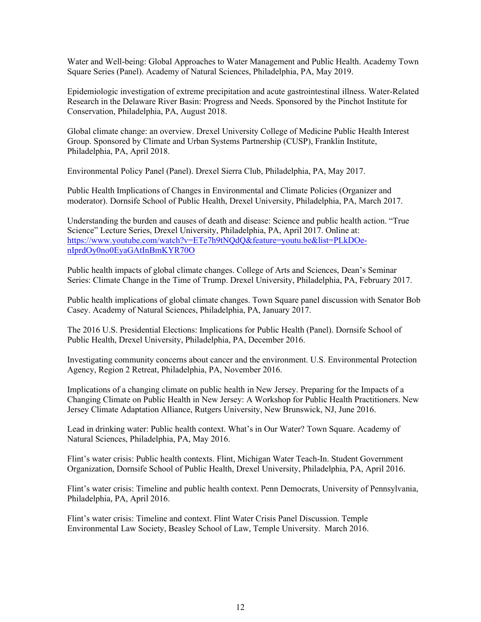Water and Well-being: Global Approaches to Water Management and Public Health. Academy Town Square Series (Panel). Academy of Natural Sciences, Philadelphia, PA, May 2019.

Epidemiologic investigation of extreme precipitation and acute gastrointestinal illness. Water-Related Research in the Delaware River Basin: Progress and Needs. Sponsored by the Pinchot Institute for Conservation, Philadelphia, PA, August 2018.

Global climate change: an overview. Drexel University College of Medicine Public Health Interest Group. Sponsored by Climate and Urban Systems Partnership (CUSP), Franklin Institute, Philadelphia, PA, April 2018.

Environmental Policy Panel (Panel). Drexel Sierra Club, Philadelphia, PA, May 2017.

Public Health Implications of Changes in Environmental and Climate Policies (Organizer and moderator). Dornsife School of Public Health, Drexel University, Philadelphia, PA, March 2017.

Understanding the burden and causes of death and disease: Science and public health action. "True Science" Lecture Series, Drexel University, Philadelphia, PA, April 2017. Online at: [https://www.youtube.com/watch?v=ETe7h9tNQdQ&feature=youtu.be&list=PLkDOe](https://www.youtube.com/watch?v=ETe7h9tNQdQ&feature=youtu.be&list=PLkDOe-nIprdOy0no0EyaGAtInBmKYR70O)[nIprdOy0no0EyaGAtInBmKYR70O](https://www.youtube.com/watch?v=ETe7h9tNQdQ&feature=youtu.be&list=PLkDOe-nIprdOy0no0EyaGAtInBmKYR70O)

Public health impacts of global climate changes. College of Arts and Sciences, Dean's Seminar Series: Climate Change in the Time of Trump. Drexel University, Philadelphia, PA, February 2017.

Public health implications of global climate changes. Town Square panel discussion with Senator Bob Casey. Academy of Natural Sciences, Philadelphia, PA, January 2017.

The 2016 U.S. Presidential Elections: Implications for Public Health (Panel). Dornsife School of Public Health, Drexel University, Philadelphia, PA, December 2016.

Investigating community concerns about cancer and the environment. U.S. Environmental Protection Agency, Region 2 Retreat, Philadelphia, PA, November 2016.

Implications of a changing climate on public health in New Jersey. Preparing for the Impacts of a Changing Climate on Public Health in New Jersey: A Workshop for Public Health Practitioners. New Jersey Climate Adaptation Alliance, Rutgers University, New Brunswick, NJ, June 2016.

Lead in drinking water: Public health context. What's in Our Water? Town Square. Academy of Natural Sciences, Philadelphia, PA, May 2016.

Flint's water crisis: Public health contexts. Flint, Michigan Water Teach-In. Student Government Organization, Dornsife School of Public Health, Drexel University, Philadelphia, PA, April 2016.

Flint's water crisis: Timeline and public health context. Penn Democrats, University of Pennsylvania, Philadelphia, PA, April 2016.

Flint's water crisis: Timeline and context. Flint Water Crisis Panel Discussion. Temple Environmental Law Society, Beasley School of Law, Temple University. March 2016.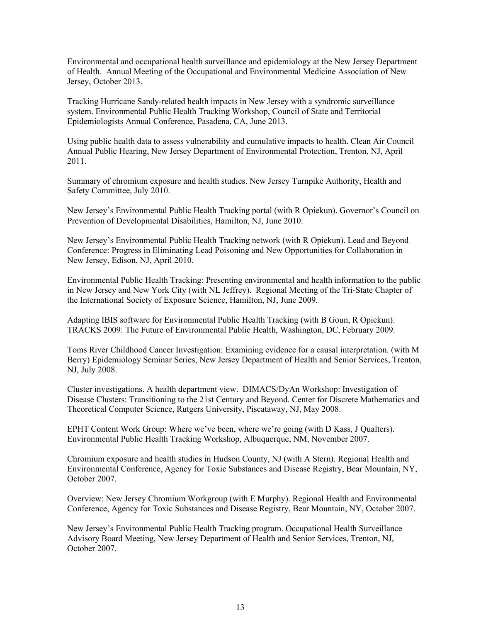Environmental and occupational health surveillance and epidemiology at the New Jersey Department of Health. Annual Meeting of the Occupational and Environmental Medicine Association of New Jersey, October 2013.

Tracking Hurricane Sandy-related health impacts in New Jersey with a syndromic surveillance system. Environmental Public Health Tracking Workshop, Council of State and Territorial Epidemiologists Annual Conference, Pasadena, CA, June 2013.

Using public health data to assess vulnerability and cumulative impacts to health. Clean Air Council Annual Public Hearing, New Jersey Department of Environmental Protection, Trenton, NJ, April 2011.

Summary of chromium exposure and health studies. New Jersey Turnpike Authority, Health and Safety Committee, July 2010.

New Jersey's Environmental Public Health Tracking portal (with R Opiekun). Governor's Council on Prevention of Developmental Disabilities, Hamilton, NJ, June 2010.

New Jersey's Environmental Public Health Tracking network (with R Opiekun). Lead and Beyond Conference: Progress in Eliminating Lead Poisoning and New Opportunities for Collaboration in New Jersey, Edison, NJ, April 2010.

Environmental Public Health Tracking: Presenting environmental and health information to the public in New Jersey and New York City (with NL Jeffrey). Regional Meeting of the Tri-State Chapter of the International Society of Exposure Science, Hamilton, NJ, June 2009.

Adapting IBIS software for Environmental Public Health Tracking (with B Goun, R Opiekun). TRACKS 2009: The Future of Environmental Public Health, Washington, DC, February 2009.

Toms River Childhood Cancer Investigation: Examining evidence for a causal interpretation. (with M Berry) Epidemiology Seminar Series, New Jersey Department of Health and Senior Services, Trenton, NJ, July 2008.

Cluster investigations. A health department view. DIMACS/DyAn Workshop: Investigation of Disease Clusters: Transitioning to the 21st Century and Beyond. Center for Discrete Mathematics and Theoretical Computer Science, Rutgers University, Piscataway, NJ, May 2008.

EPHT Content Work Group: Where we've been, where we're going (with D Kass, J Qualters). Environmental Public Health Tracking Workshop, Albuquerque, NM, November 2007.

Chromium exposure and health studies in Hudson County, NJ (with A Stern). Regional Health and Environmental Conference, Agency for Toxic Substances and Disease Registry, Bear Mountain, NY, October 2007.

Overview: New Jersey Chromium Workgroup (with E Murphy). Regional Health and Environmental Conference, Agency for Toxic Substances and Disease Registry, Bear Mountain, NY, October 2007.

New Jersey's Environmental Public Health Tracking program. Occupational Health Surveillance Advisory Board Meeting, New Jersey Department of Health and Senior Services, Trenton, NJ, October 2007.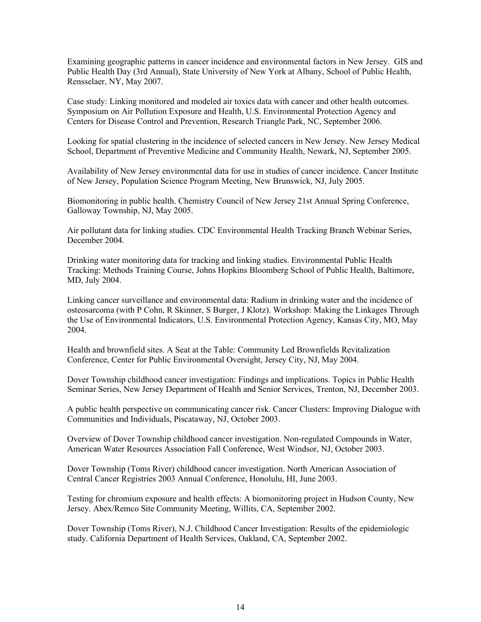Examining geographic patterns in cancer incidence and environmental factors in New Jersey. GIS and Public Health Day (3rd Annual), State University of New York at Albany, School of Public Health, Rensselaer, NY, May 2007.

Case study: Linking monitored and modeled air toxics data with cancer and other health outcomes. Symposium on Air Pollution Exposure and Health, U.S. Environmental Protection Agency and Centers for Disease Control and Prevention, Research Triangle Park, NC, September 2006.

Looking for spatial clustering in the incidence of selected cancers in New Jersey. New Jersey Medical School, Department of Preventive Medicine and Community Health, Newark, NJ, September 2005.

Availability of New Jersey environmental data for use in studies of cancer incidence. Cancer Institute of New Jersey, Population Science Program Meeting, New Brunswick, NJ, July 2005.

Biomonitoring in public health. Chemistry Council of New Jersey 21st Annual Spring Conference, Galloway Township, NJ, May 2005.

Air pollutant data for linking studies. CDC Environmental Health Tracking Branch Webinar Series, December 2004.

Drinking water monitoring data for tracking and linking studies. Environmental Public Health Tracking: Methods Training Course, Johns Hopkins Bloomberg School of Public Health, Baltimore, MD, July 2004.

Linking cancer surveillance and environmental data: Radium in drinking water and the incidence of osteosarcoma (with P Cohn, R Skinner, S Burger, J Klotz). Workshop: Making the Linkages Through the Use of Environmental Indicators, U.S. Environmental Protection Agency, Kansas City, MO, May 2004.

Health and brownfield sites. A Seat at the Table: Community Led Brownfields Revitalization Conference, Center for Public Environmental Oversight, Jersey City, NJ, May 2004.

Dover Township childhood cancer investigation: Findings and implications. Topics in Public Health Seminar Series, New Jersey Department of Health and Senior Services, Trenton, NJ, December 2003.

A public health perspective on communicating cancer risk. Cancer Clusters: Improving Dialogue with Communities and Individuals, Piscataway, NJ, October 2003.

Overview of Dover Township childhood cancer investigation. Non-regulated Compounds in Water, American Water Resources Association Fall Conference, West Windsor, NJ, October 2003.

Dover Township (Toms River) childhood cancer investigation. North American Association of Central Cancer Registries 2003 Annual Conference, Honolulu, HI, June 2003.

Testing for chromium exposure and health effects: A biomonitoring project in Hudson County, New Jersey. Abex/Remco Site Community Meeting, Willits, CA, September 2002.

Dover Township (Toms River), N.J. Childhood Cancer Investigation: Results of the epidemiologic study. California Department of Health Services, Oakland, CA, September 2002.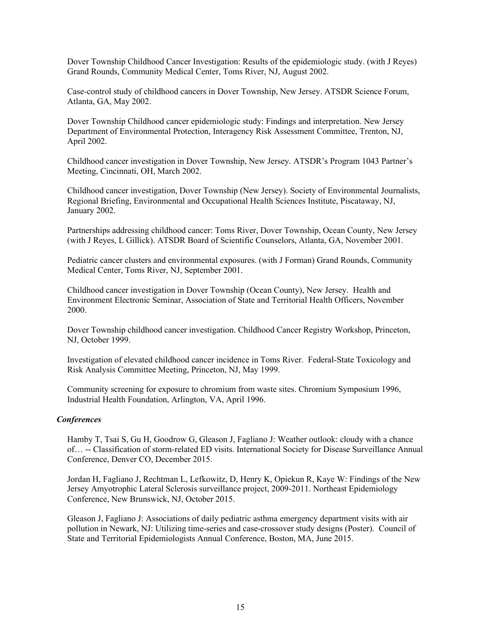Dover Township Childhood Cancer Investigation: Results of the epidemiologic study. (with J Reyes) Grand Rounds, Community Medical Center, Toms River, NJ, August 2002.

Case-control study of childhood cancers in Dover Township, New Jersey. ATSDR Science Forum, Atlanta, GA, May 2002.

Dover Township Childhood cancer epidemiologic study: Findings and interpretation. New Jersey Department of Environmental Protection, Interagency Risk Assessment Committee, Trenton, NJ, April 2002.

Childhood cancer investigation in Dover Township, New Jersey. ATSDR's Program 1043 Partner's Meeting, Cincinnati, OH, March 2002.

Childhood cancer investigation, Dover Township (New Jersey). Society of Environmental Journalists, Regional Briefing, Environmental and Occupational Health Sciences Institute, Piscataway, NJ, January 2002.

Partnerships addressing childhood cancer: Toms River, Dover Township, Ocean County, New Jersey (with J Reyes, L Gillick). ATSDR Board of Scientific Counselors, Atlanta, GA, November 2001.

Pediatric cancer clusters and environmental exposures. (with J Forman) Grand Rounds, Community Medical Center, Toms River, NJ, September 2001.

Childhood cancer investigation in Dover Township (Ocean County), New Jersey. Health and Environment Electronic Seminar, Association of State and Territorial Health Officers, November 2000.

Dover Township childhood cancer investigation. Childhood Cancer Registry Workshop, Princeton, NJ, October 1999.

Investigation of elevated childhood cancer incidence in Toms River. Federal-State Toxicology and Risk Analysis Committee Meeting, Princeton, NJ, May 1999.

Community screening for exposure to chromium from waste sites. Chromium Symposium 1996, Industrial Health Foundation, Arlington, VA, April 1996.

#### *Conferences*

Hamby T, Tsai S, Gu H, Goodrow G, Gleason J, Fagliano J: Weather outlook: cloudy with a chance of… -- Classification of storm-related ED visits. International Society for Disease Surveillance Annual Conference, Denver CO, December 2015.

Jordan H, Fagliano J, Rechtman L, Lefkowitz, D, Henry K, Opiekun R, Kaye W: Findings of the New Jersey Amyotrophic Lateral Sclerosis surveillance project, 2009-2011. Northeast Epidemiology Conference, New Brunswick, NJ, October 2015.

Gleason J, Fagliano J: Associations of daily pediatric asthma emergency department visits with air pollution in Newark, NJ: Utilizing time-series and case-crossover study designs (Poster). Council of State and Territorial Epidemiologists Annual Conference, Boston, MA, June 2015.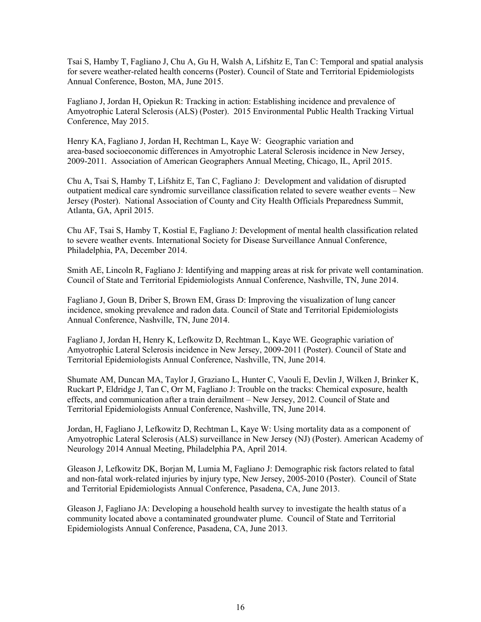Tsai S, Hamby T, Fagliano J, Chu A, Gu H, Walsh A, Lifshitz E, Tan C: Temporal and spatial analysis for severe weather-related health concerns (Poster). Council of State and Territorial Epidemiologists Annual Conference, Boston, MA, June 2015.

Fagliano J, Jordan H, Opiekun R: Tracking in action: Establishing incidence and prevalence of Amyotrophic Lateral Sclerosis (ALS) (Poster). 2015 Environmental Public Health Tracking Virtual Conference, May 2015.

Henry KA, Fagliano J, Jordan H, Rechtman L, Kaye W: Geographic variation and area-based socioeconomic differences in Amyotrophic Lateral Sclerosis incidence in New Jersey, 2009-2011. Association of American Geographers Annual Meeting, Chicago, IL, April 2015.

Chu A, Tsai S, Hamby T, Lifshitz E, Tan C, Fagliano J: Development and validation of disrupted outpatient medical care syndromic surveillance classification related to severe weather events – New Jersey (Poster). National Association of County and City Health Officials Preparedness Summit, Atlanta, GA, April 2015.

Chu AF, Tsai S, Hamby T, Kostial E, Fagliano J: Development of mental health classification related to severe weather events. International Society for Disease Surveillance Annual Conference, Philadelphia, PA, December 2014.

Smith AE, Lincoln R, Fagliano J: Identifying and mapping areas at risk for private well contamination. Council of State and Territorial Epidemiologists Annual Conference, Nashville, TN, June 2014.

Fagliano J, Goun B, Driber S, Brown EM, Grass D: Improving the visualization of lung cancer incidence, smoking prevalence and radon data. Council of State and Territorial Epidemiologists Annual Conference, Nashville, TN, June 2014.

Fagliano J, Jordan H, Henry K, Lefkowitz D, Rechtman L, Kaye WE. Geographic variation of Amyotrophic Lateral Sclerosis incidence in New Jersey, 2009-2011 (Poster). Council of State and Territorial Epidemiologists Annual Conference, Nashville, TN, June 2014.

Shumate AM, Duncan MA, Taylor J, Graziano L, Hunter C, Vaouli E, Devlin J, Wilken J, Brinker K, Ruckart P, Eldridge J, Tan C, Orr M, Fagliano J: Trouble on the tracks: Chemical exposure, health effects, and communication after a train derailment – New Jersey, 2012. Council of State and Territorial Epidemiologists Annual Conference, Nashville, TN, June 2014.

Jordan, H, Fagliano J, Lefkowitz D, Rechtman L, Kaye W: Using mortality data as a component of Amyotrophic Lateral Sclerosis (ALS) surveillance in New Jersey (NJ) (Poster). American Academy of Neurology 2014 Annual Meeting, Philadelphia PA, April 2014.

Gleason J, Lefkowitz DK, Borjan M, Lumia M, Fagliano J: Demographic risk factors related to fatal and non-fatal work-related injuries by injury type, New Jersey, 2005-2010 (Poster). Council of State and Territorial Epidemiologists Annual Conference, Pasadena, CA, June 2013.

Gleason J, Fagliano JA: Developing a household health survey to investigate the health status of a community located above a contaminated groundwater plume. Council of State and Territorial Epidemiologists Annual Conference, Pasadena, CA, June 2013.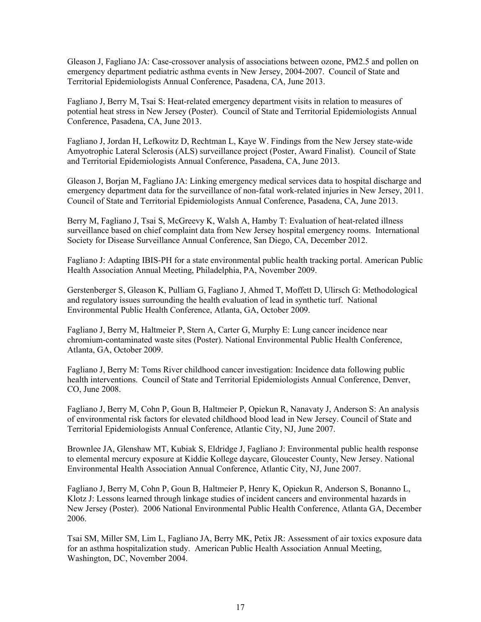Gleason J, Fagliano JA: Case-crossover analysis of associations between ozone, PM2.5 and pollen on emergency department pediatric asthma events in New Jersey, 2004-2007. Council of State and Territorial Epidemiologists Annual Conference, Pasadena, CA, June 2013.

Fagliano J, Berry M, Tsai S: Heat-related emergency department visits in relation to measures of potential heat stress in New Jersey (Poster). Council of State and Territorial Epidemiologists Annual Conference, Pasadena, CA, June 2013.

Fagliano J, Jordan H, Lefkowitz D, Rechtman L, Kaye W. Findings from the New Jersey state-wide Amyotrophic Lateral Sclerosis (ALS) surveillance project (Poster, Award Finalist). Council of State and Territorial Epidemiologists Annual Conference, Pasadena, CA, June 2013.

Gleason J, Borjan M, Fagliano JA: Linking emergency medical services data to hospital discharge and emergency department data for the surveillance of non-fatal work-related injuries in New Jersey, 2011. Council of State and Territorial Epidemiologists Annual Conference, Pasadena, CA, June 2013.

Berry M, Fagliano J, Tsai S, McGreevy K, Walsh A, Hamby T: Evaluation of heat-related illness surveillance based on chief complaint data from New Jersey hospital emergency rooms. International Society for Disease Surveillance Annual Conference, San Diego, CA, December 2012.

Fagliano J: Adapting IBIS-PH for a state environmental public health tracking portal. American Public Health Association Annual Meeting, Philadelphia, PA, November 2009.

Gerstenberger S, Gleason K, Pulliam G, Fagliano J, Ahmed T, Moffett D, Ulirsch G: Methodological and regulatory issues surrounding the health evaluation of lead in synthetic turf. National Environmental Public Health Conference, Atlanta, GA, October 2009.

Fagliano J, Berry M, Haltmeier P, Stern A, Carter G, Murphy E: Lung cancer incidence near chromium-contaminated waste sites (Poster). National Environmental Public Health Conference, Atlanta, GA, October 2009.

Fagliano J, Berry M: Toms River childhood cancer investigation: Incidence data following public health interventions. Council of State and Territorial Epidemiologists Annual Conference, Denver, CO, June 2008.

Fagliano J, Berry M, Cohn P, Goun B, Haltmeier P, Opiekun R, Nanavaty J, Anderson S: An analysis of environmental risk factors for elevated childhood blood lead in New Jersey. Council of State and Territorial Epidemiologists Annual Conference, Atlantic City, NJ, June 2007.

Brownlee JA, Glenshaw MT, Kubiak S, Eldridge J, Fagliano J: Environmental public health response to elemental mercury exposure at Kiddie Kollege daycare, Gloucester County, New Jersey. National Environmental Health Association Annual Conference, Atlantic City, NJ, June 2007.

Fagliano J, Berry M, Cohn P, Goun B, Haltmeier P, Henry K, Opiekun R, Anderson S, Bonanno L, Klotz J: Lessons learned through linkage studies of incident cancers and environmental hazards in New Jersey (Poster). 2006 National Environmental Public Health Conference, Atlanta GA, December 2006.

Tsai SM, Miller SM, Lim L, Fagliano JA, Berry MK, Petix JR: Assessment of air toxics exposure data for an asthma hospitalization study. American Public Health Association Annual Meeting, Washington, DC, November 2004.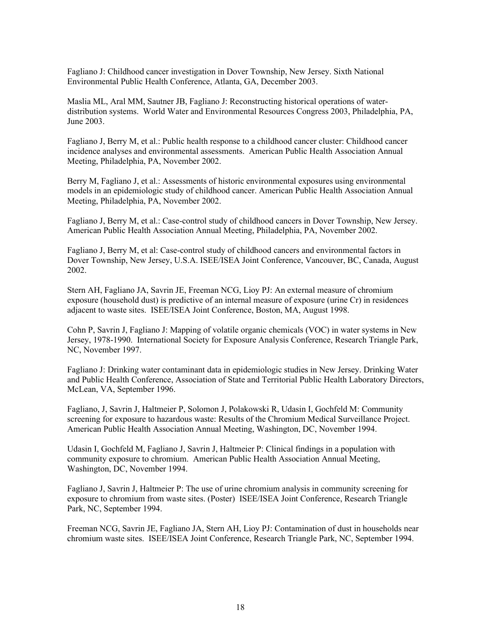Fagliano J: Childhood cancer investigation in Dover Township, New Jersey. Sixth National Environmental Public Health Conference, Atlanta, GA, December 2003.

Maslia ML, Aral MM, Sautner JB, Fagliano J: Reconstructing historical operations of waterdistribution systems. World Water and Environmental Resources Congress 2003, Philadelphia, PA, June 2003.

Fagliano J, Berry M, et al.: Public health response to a childhood cancer cluster: Childhood cancer incidence analyses and environmental assessments. American Public Health Association Annual Meeting, Philadelphia, PA, November 2002.

Berry M, Fagliano J, et al.: Assessments of historic environmental exposures using environmental models in an epidemiologic study of childhood cancer. American Public Health Association Annual Meeting, Philadelphia, PA, November 2002.

Fagliano J, Berry M, et al.: Case-control study of childhood cancers in Dover Township, New Jersey. American Public Health Association Annual Meeting, Philadelphia, PA, November 2002.

Fagliano J, Berry M, et al: Case-control study of childhood cancers and environmental factors in Dover Township, New Jersey, U.S.A. ISEE/ISEA Joint Conference, Vancouver, BC, Canada, August 2002.

Stern AH, Fagliano JA, Savrin JE, Freeman NCG, Lioy PJ: An external measure of chromium exposure (household dust) is predictive of an internal measure of exposure (urine Cr) in residences adjacent to waste sites. ISEE/ISEA Joint Conference, Boston, MA, August 1998.

Cohn P, Savrin J, Fagliano J: Mapping of volatile organic chemicals (VOC) in water systems in New Jersey, 1978-1990. International Society for Exposure Analysis Conference, Research Triangle Park, NC, November 1997.

Fagliano J: Drinking water contaminant data in epidemiologic studies in New Jersey. Drinking Water and Public Health Conference, Association of State and Territorial Public Health Laboratory Directors, McLean, VA, September 1996.

Fagliano, J, Savrin J, Haltmeier P, Solomon J, Polakowski R, Udasin I, Gochfeld M: Community screening for exposure to hazardous waste: Results of the Chromium Medical Surveillance Project. American Public Health Association Annual Meeting, Washington, DC, November 1994.

Udasin I, Gochfeld M, Fagliano J, Savrin J, Haltmeier P: Clinical findings in a population with community exposure to chromium. American Public Health Association Annual Meeting, Washington, DC, November 1994.

Fagliano J, Savrin J, Haltmeier P: The use of urine chromium analysis in community screening for exposure to chromium from waste sites. (Poster) ISEE/ISEA Joint Conference, Research Triangle Park, NC, September 1994.

Freeman NCG, Savrin JE, Fagliano JA, Stern AH, Lioy PJ: Contamination of dust in households near chromium waste sites. ISEE/ISEA Joint Conference, Research Triangle Park, NC, September 1994.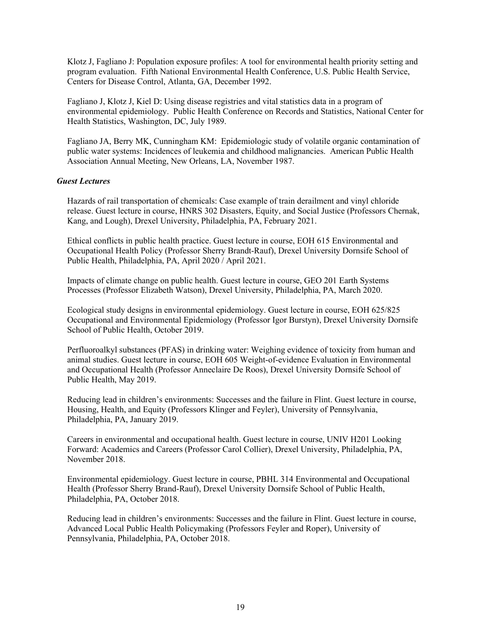Klotz J, Fagliano J: Population exposure profiles: A tool for environmental health priority setting and program evaluation. Fifth National Environmental Health Conference, U.S. Public Health Service, Centers for Disease Control, Atlanta, GA, December 1992.

Fagliano J, Klotz J, Kiel D: Using disease registries and vital statistics data in a program of environmental epidemiology. Public Health Conference on Records and Statistics, National Center for Health Statistics, Washington, DC, July 1989.

Fagliano JA, Berry MK, Cunningham KM: Epidemiologic study of volatile organic contamination of public water systems: Incidences of leukemia and childhood malignancies. American Public Health Association Annual Meeting, New Orleans, LA, November 1987.

### *Guest Lectures*

Hazards of rail transportation of chemicals: Case example of train derailment and vinyl chloride release. Guest lecture in course, HNRS 302 Disasters, Equity, and Social Justice (Professors Chernak, Kang, and Lough), Drexel University, Philadelphia, PA, February 2021.

Ethical conflicts in public health practice. Guest lecture in course, EOH 615 Environmental and Occupational Health Policy (Professor Sherry Brandt-Rauf), Drexel University Dornsife School of Public Health, Philadelphia, PA, April 2020 / April 2021.

Impacts of climate change on public health. Guest lecture in course, GEO 201 Earth Systems Processes (Professor Elizabeth Watson), Drexel University, Philadelphia, PA, March 2020.

Ecological study designs in environmental epidemiology. Guest lecture in course, EOH 625/825 Occupational and Environmental Epidemiology (Professor Igor Burstyn), Drexel University Dornsife School of Public Health, October 2019.

Perfluoroalkyl substances (PFAS) in drinking water: Weighing evidence of toxicity from human and animal studies. Guest lecture in course, EOH 605 Weight-of-evidence Evaluation in Environmental and Occupational Health (Professor Anneclaire De Roos), Drexel University Dornsife School of Public Health, May 2019.

Reducing lead in children's environments: Successes and the failure in Flint. Guest lecture in course, Housing, Health, and Equity (Professors Klinger and Feyler), University of Pennsylvania, Philadelphia, PA, January 2019.

Careers in environmental and occupational health. Guest lecture in course, UNIV H201 Looking Forward: Academics and Careers (Professor Carol Collier), Drexel University, Philadelphia, PA, November 2018.

Environmental epidemiology. Guest lecture in course, PBHL 314 Environmental and Occupational Health (Professor Sherry Brand-Rauf), Drexel University Dornsife School of Public Health, Philadelphia, PA, October 2018.

Reducing lead in children's environments: Successes and the failure in Flint. Guest lecture in course, Advanced Local Public Health Policymaking (Professors Feyler and Roper), University of Pennsylvania, Philadelphia, PA, October 2018.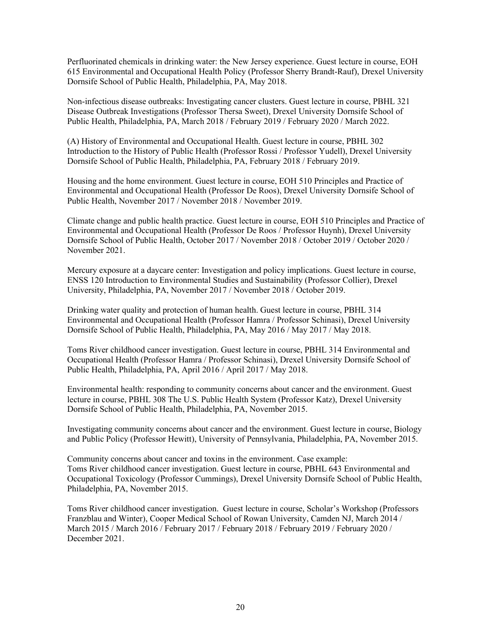Perfluorinated chemicals in drinking water: the New Jersey experience. Guest lecture in course, EOH 615 Environmental and Occupational Health Policy (Professor Sherry Brandt-Rauf), Drexel University Dornsife School of Public Health, Philadelphia, PA, May 2018.

Non-infectious disease outbreaks: Investigating cancer clusters. Guest lecture in course, PBHL 321 Disease Outbreak Investigations (Professor Thersa Sweet), Drexel University Dornsife School of Public Health, Philadelphia, PA, March 2018 / February 2019 / February 2020 / March 2022.

(A) History of Environmental and Occupational Health. Guest lecture in course, PBHL 302 Introduction to the History of Public Health (Professor Rossi / Professor Yudell), Drexel University Dornsife School of Public Health, Philadelphia, PA, February 2018 / February 2019.

Housing and the home environment. Guest lecture in course, EOH 510 Principles and Practice of Environmental and Occupational Health (Professor De Roos), Drexel University Dornsife School of Public Health, November 2017 / November 2018 / November 2019.

Climate change and public health practice. Guest lecture in course, EOH 510 Principles and Practice of Environmental and Occupational Health (Professor De Roos / Professor Huynh), Drexel University Dornsife School of Public Health, October 2017 / November 2018 / October 2019 / October 2020 / November 2021.

Mercury exposure at a daycare center: Investigation and policy implications. Guest lecture in course, ENSS 120 Introduction to Environmental Studies and Sustainability (Professor Collier), Drexel University, Philadelphia, PA, November 2017 / November 2018 / October 2019.

Drinking water quality and protection of human health. Guest lecture in course, PBHL 314 Environmental and Occupational Health (Professor Hamra / Professor Schinasi), Drexel University Dornsife School of Public Health, Philadelphia, PA, May 2016 / May 2017 / May 2018.

Toms River childhood cancer investigation. Guest lecture in course, PBHL 314 Environmental and Occupational Health (Professor Hamra / Professor Schinasi), Drexel University Dornsife School of Public Health, Philadelphia, PA, April 2016 / April 2017 / May 2018.

Environmental health: responding to community concerns about cancer and the environment. Guest lecture in course, PBHL 308 The U.S. Public Health System (Professor Katz), Drexel University Dornsife School of Public Health, Philadelphia, PA, November 2015.

Investigating community concerns about cancer and the environment. Guest lecture in course, Biology and Public Policy (Professor Hewitt), University of Pennsylvania, Philadelphia, PA, November 2015.

Community concerns about cancer and toxins in the environment. Case example: Toms River childhood cancer investigation. Guest lecture in course, PBHL 643 Environmental and Occupational Toxicology (Professor Cummings), Drexel University Dornsife School of Public Health, Philadelphia, PA, November 2015.

Toms River childhood cancer investigation. Guest lecture in course, Scholar's Workshop (Professors Franzblau and Winter), Cooper Medical School of Rowan University, Camden NJ, March 2014 / March 2015 / March 2016 / February 2017 / February 2018 / February 2019 / February 2020 / December 2021.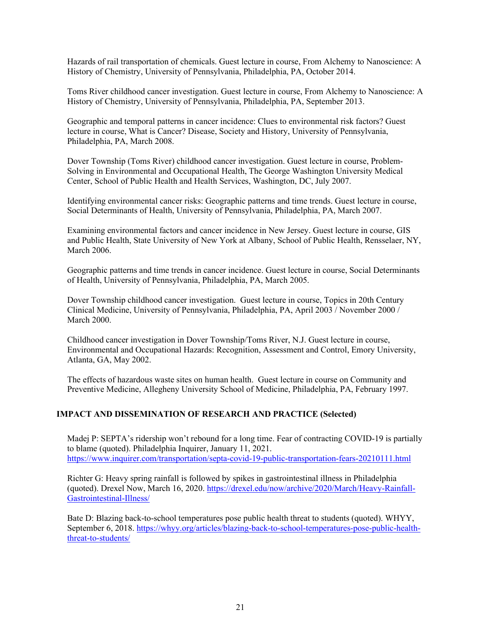Hazards of rail transportation of chemicals. Guest lecture in course, From Alchemy to Nanoscience: A History of Chemistry, University of Pennsylvania, Philadelphia, PA, October 2014.

Toms River childhood cancer investigation. Guest lecture in course, From Alchemy to Nanoscience: A History of Chemistry, University of Pennsylvania, Philadelphia, PA, September 2013.

Geographic and temporal patterns in cancer incidence: Clues to environmental risk factors? Guest lecture in course, What is Cancer? Disease, Society and History, University of Pennsylvania, Philadelphia, PA, March 2008.

Dover Township (Toms River) childhood cancer investigation. Guest lecture in course, Problem-Solving in Environmental and Occupational Health, The George Washington University Medical Center, School of Public Health and Health Services, Washington, DC, July 2007.

Identifying environmental cancer risks: Geographic patterns and time trends. Guest lecture in course, Social Determinants of Health, University of Pennsylvania, Philadelphia, PA, March 2007.

Examining environmental factors and cancer incidence in New Jersey. Guest lecture in course, GIS and Public Health, State University of New York at Albany, School of Public Health, Rensselaer, NY, March 2006.

Geographic patterns and time trends in cancer incidence. Guest lecture in course, Social Determinants of Health, University of Pennsylvania, Philadelphia, PA, March 2005.

Dover Township childhood cancer investigation. Guest lecture in course, Topics in 20th Century Clinical Medicine, University of Pennsylvania, Philadelphia, PA, April 2003 / November 2000 / March 2000.

Childhood cancer investigation in Dover Township/Toms River, N.J. Guest lecture in course, Environmental and Occupational Hazards: Recognition, Assessment and Control, Emory University, Atlanta, GA, May 2002.

The effects of hazardous waste sites on human health. Guest lecture in course on Community and Preventive Medicine, Allegheny University School of Medicine, Philadelphia, PA, February 1997.

# **IMPACT AND DISSEMINATION OF RESEARCH AND PRACTICE (Selected)**

Madej P: SEPTA's ridership won't rebound for a long time. Fear of contracting COVID-19 is partially to blame (quoted). Philadelphia Inquirer, January 11, 2021. <https://www.inquirer.com/transportation/septa-covid-19-public-transportation-fears-20210111.html>

Richter G: Heavy spring rainfall is followed by spikes in gastrointestinal illness in Philadelphia (quoted). Drexel Now, March 16, 2020. [https://drexel.edu/now/archive/2020/March/Heavy-Rainfall-](https://drexel.edu/now/archive/2020/March/Heavy-Rainfall-Gastrointestinal-Illness/)[Gastrointestinal-Illness/](https://drexel.edu/now/archive/2020/March/Heavy-Rainfall-Gastrointestinal-Illness/)

Bate D: Blazing back-to-school temperatures pose public health threat to students (quoted). WHYY, September 6, 2018. [https://whyy.org/articles/blazing-back-to-school-temperatures-pose-public-health](https://whyy.org/articles/blazing-back-to-school-temperatures-pose-public-health-threat-to-students/)[threat-to-students/](https://whyy.org/articles/blazing-back-to-school-temperatures-pose-public-health-threat-to-students/)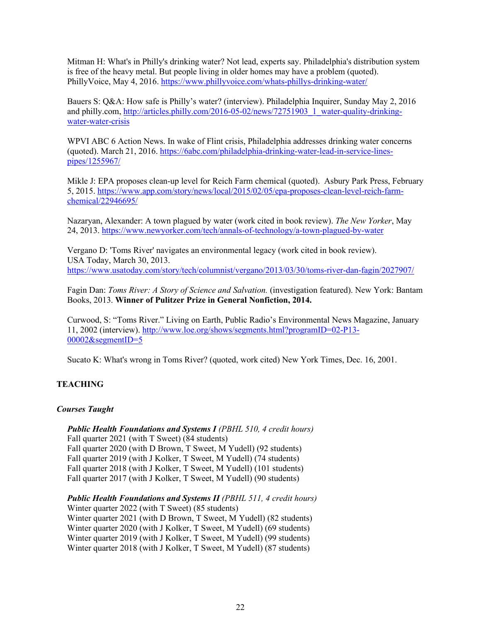Mitman H: What's in Philly's drinking water? Not lead, experts say. Philadelphia's distribution system is free of the heavy metal. But people living in older homes may have a problem (quoted). PhillyVoice, May 4, 2016.<https://www.phillyvoice.com/whats-phillys-drinking-water/>

Bauers S: Q&A: How safe is Philly's water? (interview). Philadelphia Inquirer, Sunday May 2, 2016 and philly.com, [http://articles.philly.com/2016-05-02/news/72751903\\_1\\_water-quality-drinking](http://articles.philly.com/2016-05-02/news/72751903_1_water-quality-drinking-water-water-crisis)[water-water-crisis](http://articles.philly.com/2016-05-02/news/72751903_1_water-quality-drinking-water-water-crisis)

WPVI ABC 6 Action News. In wake of Flint crisis, Philadelphia addresses drinking water concerns (quoted). March 21, 2016[. https://6abc.com/philadelphia-drinking-water-lead-in-service-lines](https://6abc.com/philadelphia-drinking-water-lead-in-service-lines-pipes/1255967/)[pipes/1255967/](https://6abc.com/philadelphia-drinking-water-lead-in-service-lines-pipes/1255967/)

Mikle J: EPA proposes clean-up level for Reich Farm chemical (quoted). Asbury Park Press, February 5, 2015. [https://www.app.com/story/news/local/2015/02/05/epa-proposes-clean-level-reich-farm](https://www.app.com/story/news/local/2015/02/05/epa-proposes-clean-level-reich-farm-chemical/22946695/)[chemical/22946695/](https://www.app.com/story/news/local/2015/02/05/epa-proposes-clean-level-reich-farm-chemical/22946695/)

Nazaryan, Alexander: A town plagued by water (work cited in book review). *The New Yorker*, May 24, 2013.<https://www.newyorker.com/tech/annals-of-technology/a-town-plagued-by-water>

Vergano D: 'Toms River' navigates an environmental legacy (work cited in book review). USA Today, March 30, 2013. <https://www.usatoday.com/story/tech/columnist/vergano/2013/03/30/toms-river-dan-fagin/2027907/>

Fagin Dan: *Toms River: A Story of Science and Salvation.* (investigation featured). New York: Bantam Books, 2013. **Winner of Pulitzer Prize in General Nonfiction, 2014.**

Curwood, S: "Toms River." Living on Earth, Public Radio's Environmental News Magazine, January 11, 2002 (interview). [http://www.loe.org/shows/segments.html?programID=02-P13-](http://www.loe.org/shows/segments.html?programID=02-P13-00002&segmentID=5) [00002&segmentID=5](http://www.loe.org/shows/segments.html?programID=02-P13-00002&segmentID=5)

Sucato K: What's wrong in Toms River? (quoted, work cited) New York Times, Dec. 16, 2001.

# **TEACHING**

## *Courses Taught*

*Public Health Foundations and Systems I (PBHL 510, 4 credit hours)* Fall quarter 2021 (with T Sweet) (84 students) Fall quarter 2020 (with D Brown, T Sweet, M Yudell) (92 students) Fall quarter 2019 (with J Kolker, T Sweet, M Yudell) (74 students) Fall quarter 2018 (with J Kolker, T Sweet, M Yudell) (101 students) Fall quarter 2017 (with J Kolker, T Sweet, M Yudell) (90 students)

*Public Health Foundations and Systems II (PBHL 511, 4 credit hours)* Winter quarter 2022 (with T Sweet) (85 students) Winter quarter 2021 (with D Brown, T Sweet, M Yudell) (82 students) Winter quarter 2020 (with J Kolker, T Sweet, M Yudell) (69 students) Winter quarter 2019 (with J Kolker, T Sweet, M Yudell) (99 students) Winter quarter 2018 (with J Kolker, T Sweet, M Yudell) (87 students)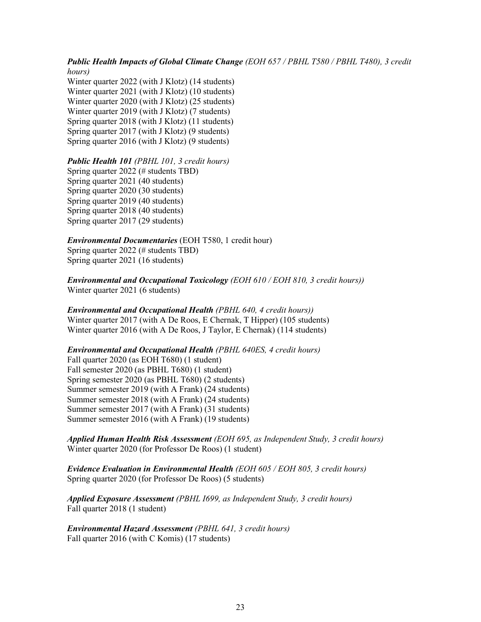### *Public Health Impacts of Global Climate Change (EOH 657 / PBHL T580 / PBHL T480), 3 credit hours)*

Winter quarter 2022 (with J Klotz) (14 students) Winter quarter 2021 (with J Klotz) (10 students) Winter quarter 2020 (with J Klotz) (25 students) Winter quarter 2019 (with J Klotz) (7 students) Spring quarter 2018 (with J Klotz) (11 students) Spring quarter 2017 (with J Klotz) (9 students) Spring quarter 2016 (with J Klotz) (9 students)

#### *Public Health 101 (PBHL 101, 3 credit hours)*

Spring quarter 2022 (# students TBD) Spring quarter 2021 (40 students) Spring quarter 2020 (30 students) Spring quarter 2019 (40 students) Spring quarter 2018 (40 students) Spring quarter 2017 (29 students)

*Environmental Documentaries* (EOH T580, 1 credit hour) Spring quarter 2022 (# students TBD) Spring quarter 2021 (16 students)

*Environmental and Occupational Toxicology (EOH 610 / EOH 810, 3 credit hours))* Winter quarter 2021 (6 students)

#### *Environmental and Occupational Health (PBHL 640, 4 credit hours))* Winter quarter 2017 (with A De Roos, E Chernak, T Hipper) (105 students) Winter quarter 2016 (with A De Roos, J Taylor, E Chernak) (114 students)

# *Environmental and Occupational Health (PBHL 640ES, 4 credit hours)* Fall quarter 2020 (as EOH T680) (1 student) Fall semester 2020 (as PBHL T680) (1 student) Spring semester 2020 (as PBHL T680) (2 students) Summer semester 2019 (with A Frank) (24 students) Summer semester 2018 (with A Frank) (24 students) Summer semester 2017 (with A Frank) (31 students) Summer semester 2016 (with A Frank) (19 students)

*Applied Human Health Risk Assessment (EOH 695, as Independent Study, 3 credit hours)* Winter quarter 2020 (for Professor De Roos) (1 student)

*Evidence Evaluation in Environmental Health (EOH 605 / EOH 805, 3 credit hours)* Spring quarter 2020 (for Professor De Roos) (5 students)

*Applied Exposure Assessment (PBHL I699, as Independent Study, 3 credit hours)* Fall quarter 2018 (1 student)

*Environmental Hazard Assessment (PBHL 641, 3 credit hours)* Fall quarter 2016 (with C Komis) (17 students)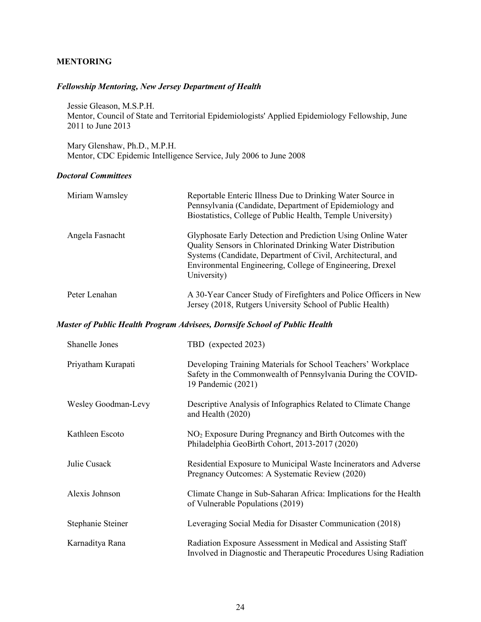# **MENTORING**

## *Fellowship Mentoring, New Jersey Department of Health*

Jessie Gleason, M.S.P.H. Mentor, Council of State and Territorial Epidemiologists' Applied Epidemiology Fellowship, June 2011 to June 2013

Mary Glenshaw, Ph.D., M.P.H. Mentor, CDC Epidemic Intelligence Service, July 2006 to June 2008

## *Doctoral Committees*

| Miriam Wamsley  | Reportable Enteric Illness Due to Drinking Water Source in<br>Pennsylvania (Candidate, Department of Epidemiology and<br>Biostatistics, College of Public Health, Temple University)                                                                                  |
|-----------------|-----------------------------------------------------------------------------------------------------------------------------------------------------------------------------------------------------------------------------------------------------------------------|
| Angela Fasnacht | Glyphosate Early Detection and Prediction Using Online Water<br>Quality Sensors in Chlorinated Drinking Water Distribution<br>Systems (Candidate, Department of Civil, Architectural, and<br>Environmental Engineering, College of Engineering, Drexel<br>University) |
| Peter Lenahan   | A 30-Year Cancer Study of Firefighters and Police Officers in New<br>Jersey (2018, Rutgers University School of Public Health)                                                                                                                                        |

## *Master of Public Health Program Advisees, Dornsife School of Public Health*

| Shanelle Jones      | TBD (expected 2023)                                                                                                                                |
|---------------------|----------------------------------------------------------------------------------------------------------------------------------------------------|
| Priyatham Kurapati  | Developing Training Materials for School Teachers' Workplace<br>Safety in the Commonwealth of Pennsylvania During the COVID-<br>19 Pandemic (2021) |
| Wesley Goodman-Levy | Descriptive Analysis of Infographics Related to Climate Change<br>and Health (2020)                                                                |
| Kathleen Escoto     | $NO2$ Exposure During Pregnancy and Birth Outcomes with the<br>Philadelphia GeoBirth Cohort, 2013-2017 (2020)                                      |
| Julie Cusack        | Residential Exposure to Municipal Waste Incinerators and Adverse<br>Pregnancy Outcomes: A Systematic Review (2020)                                 |
| Alexis Johnson      | Climate Change in Sub-Saharan Africa: Implications for the Health<br>of Vulnerable Populations (2019)                                              |
| Stephanie Steiner   | Leveraging Social Media for Disaster Communication (2018)                                                                                          |
| Karnaditya Rana     | Radiation Exposure Assessment in Medical and Assisting Staff<br>Involved in Diagnostic and Therapeutic Procedures Using Radiation                  |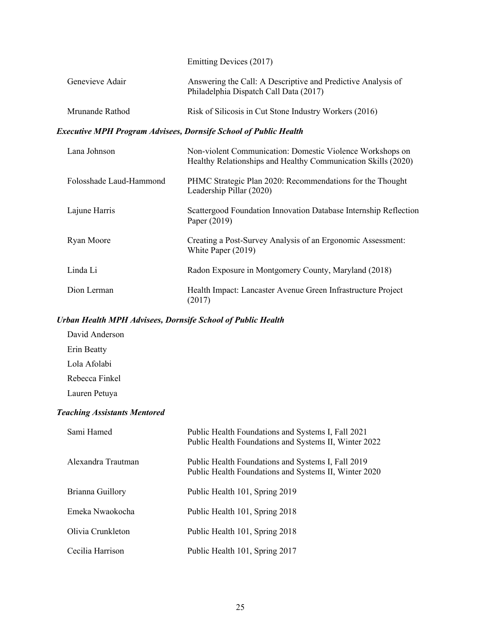Emitting Devices (2017)

| Genevieve Adair                                                         | Answering the Call: A Descriptive and Predictive Analysis of<br>Philadelphia Dispatch Call Data (2017)                     |  |  |
|-------------------------------------------------------------------------|----------------------------------------------------------------------------------------------------------------------------|--|--|
| Mrunande Rathod                                                         | Risk of Silicosis in Cut Stone Industry Workers (2016)                                                                     |  |  |
| <b>Executive MPH Program Advisees, Dornsife School of Public Health</b> |                                                                                                                            |  |  |
| Lana Johnson                                                            | Non-violent Communication: Domestic Violence Workshops on<br>Healthy Relationships and Healthy Communication Skills (2020) |  |  |
| Folosshade Laud-Hammond                                                 | PHMC Strategic Plan 2020: Recommendations for the Thought<br>Leadership Pillar (2020)                                      |  |  |
| Lajune Harris                                                           | Scattergood Foundation Innovation Database Internship Reflection<br>Paper (2019)                                           |  |  |
| Ryan Moore                                                              | Creating a Post-Survey Analysis of an Ergonomic Assessment:<br>White Paper (2019)                                          |  |  |
| Linda Li                                                                | Radon Exposure in Montgomery County, Maryland (2018)                                                                       |  |  |
| Dion Lerman                                                             | Health Impact: Lancaster Avenue Green Infrastructure Project<br>(2017)                                                     |  |  |

# *Urban Health MPH Advisees, Dornsife School of Public Health*

David Anderson Erin Beatty Lola Afolabi Rebecca Finkel Lauren Petuya

# *Teaching Assistants Mentored*

| Sami Hamed         | Public Health Foundations and Systems I, Fall 2021<br>Public Health Foundations and Systems II, Winter 2022 |
|--------------------|-------------------------------------------------------------------------------------------------------------|
| Alexandra Trautman | Public Health Foundations and Systems I, Fall 2019<br>Public Health Foundations and Systems II, Winter 2020 |
| Brianna Guillory   | Public Health 101, Spring 2019                                                                              |
| Emeka Nwaokocha    | Public Health 101, Spring 2018                                                                              |
| Olivia Crunkleton  | Public Health 101, Spring 2018                                                                              |
| Cecilia Harrison   | Public Health 101, Spring 2017                                                                              |